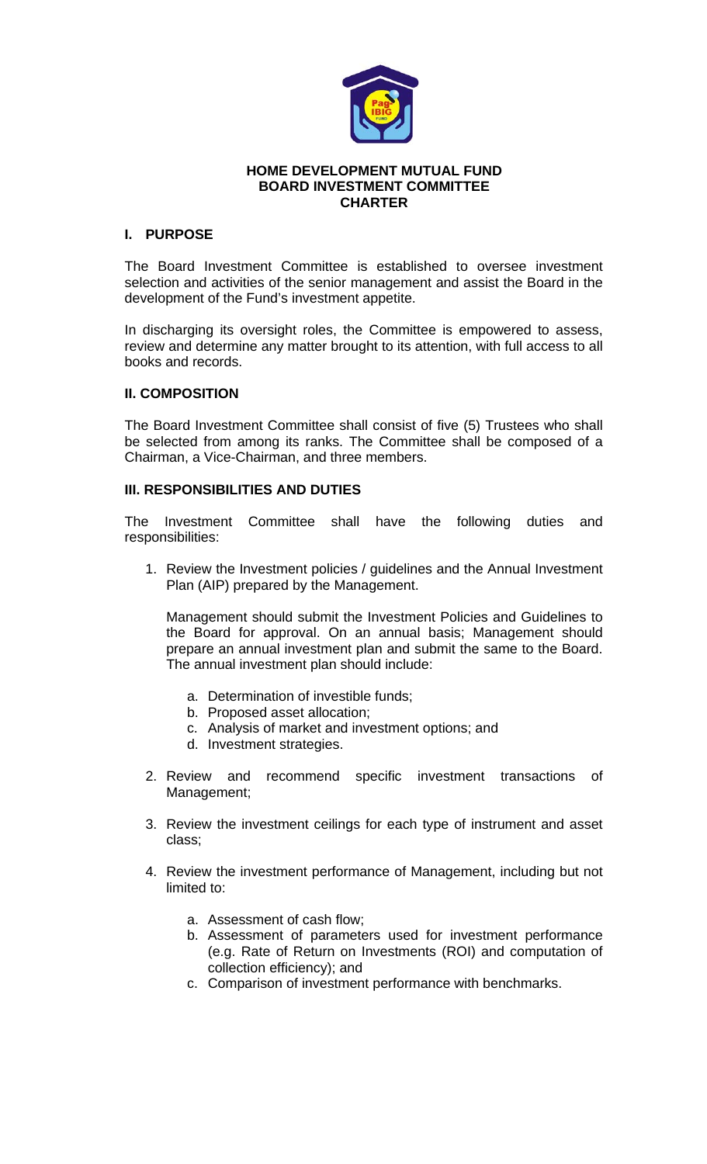

#### **HOME DEVELOPMENT MUTUAL FUND BOARD INVESTMENT COMMITTEE CHARTER**

# **I. PURPOSE**

The Board Investment Committee is established to oversee investment selection and activities of the senior management and assist the Board in the development of the Fund's investment appetite.

In discharging its oversight roles, the Committee is empowered to assess, review and determine any matter brought to its attention, with full access to all books and records.

# **II. COMPOSITION**

The Board Investment Committee shall consist of five (5) Trustees who shall be selected from among its ranks. The Committee shall be composed of a Chairman, a Vice-Chairman, and three members.

## **III. RESPONSIBILITIES AND DUTIES**

The Investment Committee shall have the following duties and responsibilities:

1. Review the Investment policies / guidelines and the Annual Investment Plan (AIP) prepared by the Management.

Management should submit the Investment Policies and Guidelines to the Board for approval. On an annual basis; Management should prepare an annual investment plan and submit the same to the Board. The annual investment plan should include:

- a. Determination of investible funds;
- b. Proposed asset allocation;
- c. Analysis of market and investment options; and
- d. Investment strategies.
- 2. Review and recommend specific investment transactions of Management;
- 3. Review the investment ceilings for each type of instrument and asset class;
- 4. Review the investment performance of Management, including but not limited to:
	- a. Assessment of cash flow;
	- b. Assessment of parameters used for investment performance (e.g. Rate of Return on Investments (ROI) and computation of collection efficiency); and
	- c. Comparison of investment performance with benchmarks.